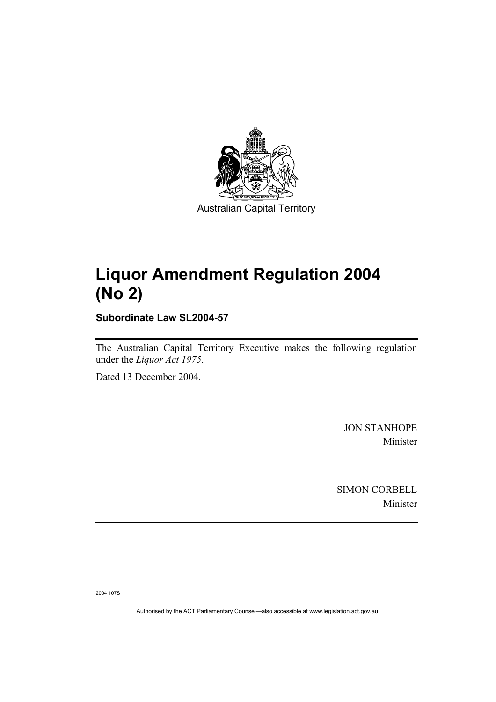

# **Liquor Amendment Regulation 2004 (No 2)**

**Subordinate Law SL2004-57** 

The Australian Capital Territory Executive makes the following regulation under the *Liquor Act 1975*.

Dated 13 December 2004.

JON STANHOPE Minister

SIMON CORBELL Minister

2004 107S

Authorised by the ACT Parliamentary Counsel—also accessible at www.legislation.act.gov.au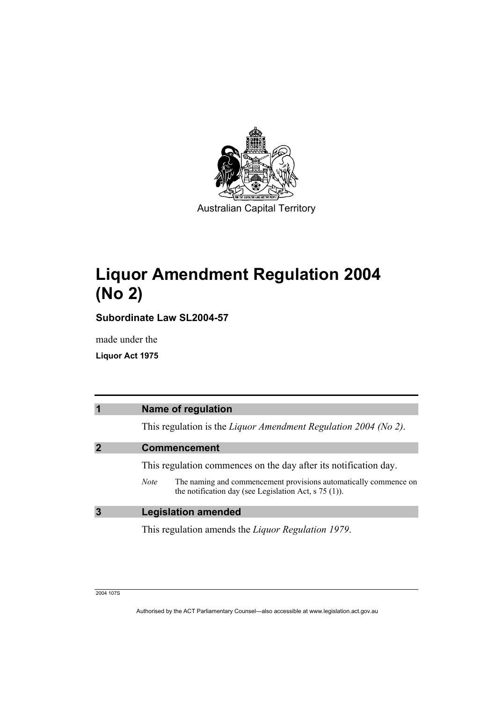

# **Liquor Amendment Regulation 2004 (No 2)**

**Subordinate Law SL2004-57** 

made under the

**Liquor Act 1975** 

| $\overline{\mathbf{1}}$ | <b>Name of regulation</b>                                                                                                                       |
|-------------------------|-------------------------------------------------------------------------------------------------------------------------------------------------|
|                         | This regulation is the Liquor Amendment Regulation 2004 (No 2).                                                                                 |
|                         | <b>Commencement</b>                                                                                                                             |
|                         | This regulation commences on the day after its notification day.                                                                                |
|                         | The naming and commencement provisions automatically commence on<br><b>Note</b><br>the notification day (see Legislation Act, $\sigma$ 75 (1)). |
| 3                       | <b>Legislation amended</b>                                                                                                                      |
|                         | This regulation amends the <i>Liquor Regulation 1979</i> .                                                                                      |

2004 107S

Authorised by the ACT Parliamentary Counsel—also accessible at www.legislation.act.gov.au